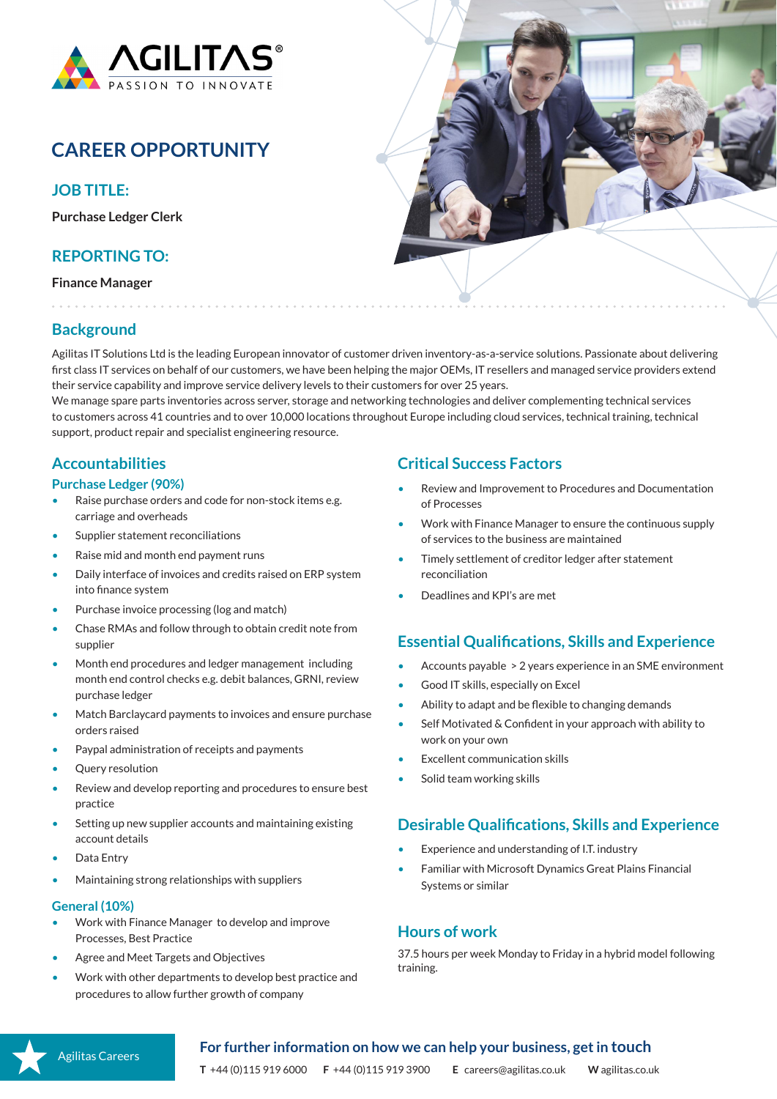

# **CAREER OPPORTUNITY**

## **JOB TITLE:**

**Purchase Ledger Clerk**

# **REPORTING TO:**

**Finance Manager**



# **Background**

Agilitas IT Solutions Ltd is the leading European innovator of customer driven inventory-as-a-service solutions. Passionate about delivering first class IT services on behalf of our customers, we have been helping the major OEMs, IT resellers and managed service providers extend their service capability and improve service delivery levels to their customers for over 25 years.

We manage spare parts inventories across server, storage and networking technologies and deliver complementing technical services to customers across 41 countries and to over 10,000 locations throughout Europe including cloud services, technical training, technical support, product repair and specialist engineering resource.

## **Accountabilities**

#### **Purchase Ledger (90%)**

- Raise purchase orders and code for non-stock items e.g. carriage and overheads
- Supplier statement reconciliations
- Raise mid and month end payment runs
- Daily interface of invoices and credits raised on ERP system into finance system
- Purchase invoice processing (log and match)
- Chase RMAs and follow through to obtain credit note from supplier
- Month end procedures and ledger management including month end control checks e.g. debit balances, GRNI, review purchase ledger
- Match Barclaycard payments to invoices and ensure purchase orders raised
- Paypal administration of receipts and payments
- Query resolution
- Review and develop reporting and procedures to ensure best practice
- Setting up new supplier accounts and maintaining existing account details
- Data Entry
- Maintaining strong relationships with suppliers

#### **General (10%)**

- Work with Finance Manager to develop and improve Processes, Best Practice
- Agree and Meet Targets and Objectives
- Work with other departments to develop best practice and procedures to allow further growth of company

#### **Critical Success Factors**

- Review and Improvement to Procedures and Documentation of Processes
- Work with Finance Manager to ensure the continuous supply of services to the business are maintained
- Timely settlement of creditor ledger after statement reconciliation
- Deadlines and KPI's are met

#### **Essential Qualifications, Skills and Experience**

- Accounts payable > 2 years experience in an SME environment
- Good IT skills, especially on Excel
- Ability to adapt and be flexible to changing demands
- Self Motivated & Confident in your approach with ability to work on your own
- Excellent communication skills
- Solid team working skills

#### **Desirable Qualifications, Skills and Experience**

- Experience and understanding of I.T. industry
- Familiar with Microsoft Dynamics Great Plains Financial Systems or similar

#### **Hours of work**

37.5 hours per week Monday to Friday in a hybrid model following training.



#### **For further information on how we can help your business, get in touch**

**T** +44 (0)115 919 6000 **F** +44 (0)115 919 3900 **E** careers@agilitas.co.uk **W** agilitas.co.uk